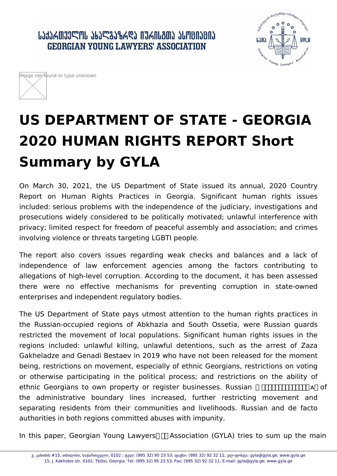․ ԱՆՅՆՃᲗᲕᲔᲚᲝᲡ ᲐᲮᲐᲚᲒᲐᲖᲠᲓᲐ ᲘᲣᲠᲘᲡᲒᲗᲐ ᲐᲡᲝᲪᲘᲐᲪᲘᲐ **GEORGIAN YOUNG LAWYERS' ASSOCIATION** 





## **US DEPARTMENT OF STATE - GEORGIA 2020 HUMAN RIGHTS REPORT Short Summary by GYLA**

On March 30, 2021, the US Department of State issued its annual, 2020 Country Report on Human Rights Practices in Georgia. Significant human rights issues included: serious problems with the independence of the judiciary, investigations and prosecutions widely considered to be politically motivated; unlawful interference with privacy; limited respect for freedom of peaceful assembly and association; and crimes involving violence or threats targeting LGBTI people.

The report also covers issues regarding weak checks and balances and a lack of independence of law enforcement agencies among the factors contributing to allegations of high-level corruption. According to the document, it has been assessed there were no effective mechanisms for preventing corruption in state-owned enterprises and independent regulatory bodies.

The US Department of State pays utmost attention to the human rights practices in the Russian-occupied regions of Abkhazia and South Ossetia, were Russian guards restricted the movement of local populations. Significant human rights issues in the regions included: unlawful killing, unlawful detentions, such as the arrest of Zaza Gakheladze and Genadi Bestaev in 2019 who have not been released for the moment being, restrictions on movement, especially of ethnic Georgians, restrictions on voting or otherwise participating in the political process; and restrictions on the ability of ethnic Georgians to own property or register businesses. Russian **FITTTTTTTTTTTTTTTTTTT** a of the administrative boundary lines increased, further restricting movement and separating residents from their communities and livelihoods. Russian and de facto authorities in both regions committed abuses with impunity.

In this paper, Georgian Young Lawyers  $\Box$  Association (GYLA) tries to sum up the main